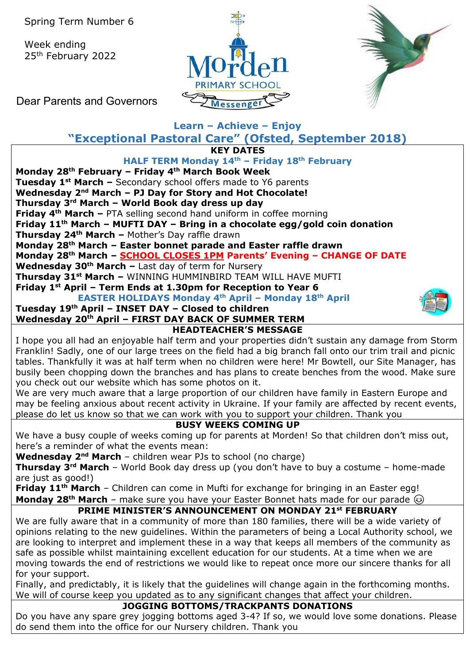Spring Term Number 6

Week ending 25th February 2022





Dear Parents and Governors

# **Learn – Achieve – Enjoy "Exceptional Pastoral Care" (Ofsted, September 2018)**

**KEY DATES**

### **HALF TERM Monday 14th – Friday 18th February**

**Monday 28th February – Friday 4th March Book Week**

**Tuesday 1st March –** Secondary school offers made to Y6 parents

**Wednesday 2nd March – PJ Day for Story and Hot Chocolate!**

### **Thursday 3rd March – World Book day dress up day**

**Friday 4th March –** PTA selling second hand uniform in coffee morning

**Friday 11th March – MUFTI DAY – Bring in a chocolate egg/gold coin donation**

**Thursday 24th March –** Mother's Day raffle drawn

**Monday 28th March – Easter bonnet parade and Easter raffle drawn**

**Monday 28th March – SCHOOL CLOSES 1PM Parents' Evening – CHANGE OF DATE**

**Wednesday 30th March –** Last day of term for Nursery

**Thursday 31st March –** WINNING HUMMINBIRD TEAM WILL HAVE MUFTI

**Friday 1st April – Term Ends at 1.30pm for Reception to Year 6**

**EASTER HOLIDAYS Monday 4th April – Monday 18th April**

# **Tuesday 19th April – INSET DAY – Closed to children**

#### **Wednesday 20th April – FIRST DAY BACK OF SUMMER TERM HEADTEACHER'S MESSAGE**

I hope you all had an enjoyable half term and your properties didn't sustain any damage from Storm Franklin! Sadly, one of our large trees on the field had a big branch fall onto our trim trail and picnic tables. Thankfully it was at half term when no children were here! Mr Bowtell, our Site Manager, has busily been chopping down the branches and has plans to create benches from the wood. Make sure you check out our website which has some photos on it.

We are very much aware that a large proportion of our children have family in Eastern Europe and may be feeling anxious about recent activity in Ukraine. If your family are affected by recent events, please do let us know so that we can work with you to support your children. Thank you

### **BUSY WEEKS COMING UP**

We have a busy couple of weeks coming up for parents at Morden! So that children don't miss out, here's a reminder of what the events mean:

**Wednesday 2nd March** – children wear PJs to school (no charge)

**Thursday 3rd March** – World Book day dress up (you don't have to buy a costume – home-made are just as good!)

**Friday 11th March** – Children can come in Mufti for exchange for bringing in an Easter egg! **Monday 28<sup>th</sup> March** – make sure you have your Easter Bonnet hats made for our parade  $\circledcirc$ 

# **PRIME MINISTER'S ANNOUNCEMENT ON MONDAY 21st FEBRUARY**

We are fully aware that in a community of more than 180 families, there will be a wide variety of opinions relating to the new guidelines. Within the parameters of being a Local Authority school, we are looking to interpret and implement these in a way that keeps all members of the community as safe as possible whilst maintaining excellent education for our students. At a time when we are moving towards the end of restrictions we would like to repeat once more our sincere thanks for all for your support.

Finally, and predictably, it is likely that the guidelines will change again in the forthcoming months. We will of course keep you updated as to any significant changes that affect your children.

## **JOGGING BOTTOMS/TRACKPANTS DONATIONS**

Do you have any spare grey jogging bottoms aged 3-4? If so, we would love some donations. Please do send them into the office for our Nursery children. Thank you

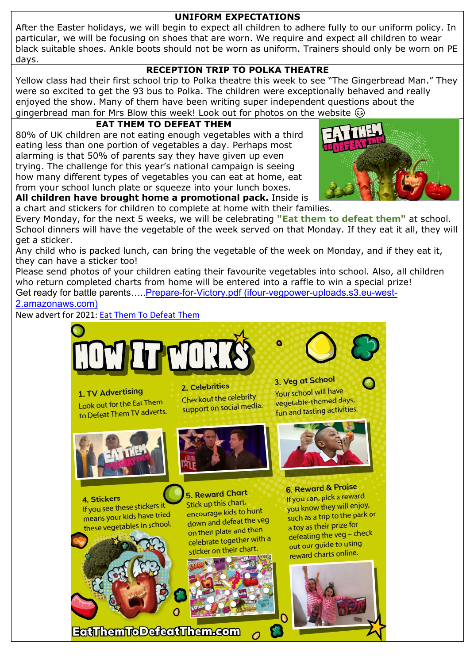#### **UNIFORM EXPECTATIONS**

After the Easter holidays, we will begin to expect all children to adhere fully to our uniform policy. In particular, we will be focusing on shoes that are worn. We require and expect all children to wear black suitable shoes. Ankle boots should not be worn as uniform. Trainers should only be worn on PE days.

### **RECEPTION TRIP TO POLKA THEATRE**

Yellow class had their first school trip to Polka theatre this week to see "The Gingerbread Man." They were so excited to get the 93 bus to Polka. The children were exceptionally behaved and really enjoyed the show. Many of them have been writing super independent questions about the gingerbread man for Mrs Blow this week! Look out for photos on the website  $\odot$ 

# **EAT THEM TO DEFEAT THEM**

80% of UK children are not eating enough vegetables with a third eating less than one portion of vegetables a day. Perhaps most alarming is that 50% of parents say they have given up even trying. The challenge for this year's national campaign is seeing how many different types of vegetables you can eat at home, eat from your school lunch plate or squeeze into your lunch boxes.



**All children have brought home a promotional pack.** Inside is a chart and stickers for children to complete at home with their families.

Every Monday, for the next 5 weeks, we will be celebrating **"Eat them to defeat them"** at school. School dinners will have the vegetable of the week served on that Monday. If they eat it all, they will get a sticker.

Any child who is packed lunch, can bring the vegetable of the week on Monday, and if they eat it, they can have a sticker too!

Please send photos of your children eating their favourite vegetables into school. Also, all children who return completed charts from home will be entered into a raffle to win a special prize! Get ready for battle parents….[.Prepare-for-Victory.pdf \(ifour-vegpower-uploads.s3.eu-west-](https://ifour-vegpower-uploads.s3.eu-west-2.amazonaws.com/wp-content/uploads/2022/01/28091544/Prepare-for-Victory.pdf)[2.amazonaws.com\)](https://ifour-vegpower-uploads.s3.eu-west-2.amazonaws.com/wp-content/uploads/2022/01/28091544/Prepare-for-Victory.pdf)

New advert for 2021: [Eat Them To Defeat Them](https://eatthemtodefeatthem.com/)



**EatThemToDefeatThem.com**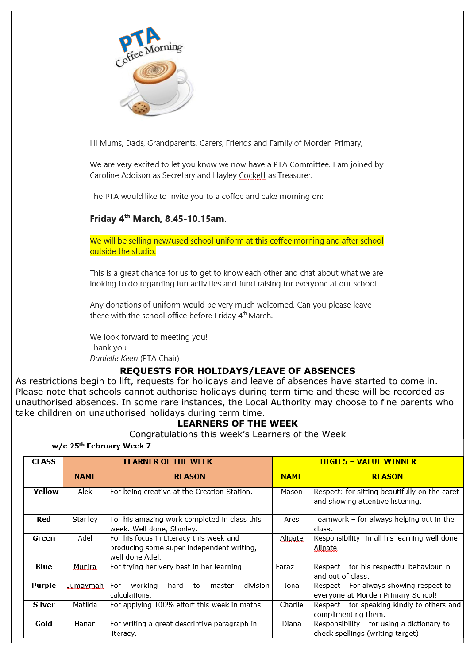| Coffee Morning                                                                                                                                                                                         |  |  |  |  |  |
|--------------------------------------------------------------------------------------------------------------------------------------------------------------------------------------------------------|--|--|--|--|--|
| Hi Mums, Dads, Grandparents, Carers, Friends and Family of Morden Primary,                                                                                                                             |  |  |  |  |  |
| We are very excited to let you know we now have a PTA Committee. I am joined by<br>Caroline Addison as Secretary and Hayley Cockett as Treasurer.                                                      |  |  |  |  |  |
| The PTA would like to invite you to a coffee and cake morning on:                                                                                                                                      |  |  |  |  |  |
| Friday 4 <sup>th</sup> March, 8.45-10.15am.                                                                                                                                                            |  |  |  |  |  |
| We will be selling new/used school uniform at this coffee morning and after school<br>outside the studio.                                                                                              |  |  |  |  |  |
| This is a great chance for us to get to know each other and chat about what we are<br>looking to do regarding fun activities and fund raising for everyone at our school.                              |  |  |  |  |  |
| Any donations of uniform would be very much welcomed. Can you please leave<br>these with the school office before Friday 4 <sup>th</sup> March.                                                        |  |  |  |  |  |
| We look forward to meeting you!<br>Thank you,<br>Danielle Keen (PTA Chair)                                                                                                                             |  |  |  |  |  |
| <b>REQUESTS FOR HOLIDAYS/LEAVE OF ABSENCES</b>                                                                                                                                                         |  |  |  |  |  |
| As restrictions begin to lift, requests for holidays and leave of absences have started to come in.                                                                                                    |  |  |  |  |  |
| Please note that schools cannot authorise holidays during term time and these will be recorded as<br>unauthorised absences. In some rare instances, the Local Authority may choose to fine parents who |  |  |  |  |  |
| take children on unauthorised holidays during term time.                                                                                                                                               |  |  |  |  |  |
| <b>LEARNERS OF THE WEEK</b>                                                                                                                                                                            |  |  |  |  |  |

## Congratulations this week's Learners of the Week

| <b>CLASS</b>  | <b>LEARNER OF THE WEEK</b> |                                                                                                         | <b>HIGH 5 - VALUE WINNER</b> |                                                                                   |
|---------------|----------------------------|---------------------------------------------------------------------------------------------------------|------------------------------|-----------------------------------------------------------------------------------|
|               | <b>NAME</b>                | <b>REASON</b>                                                                                           | <b>NAME</b>                  | <b>REASON</b>                                                                     |
| <b>Yellow</b> | Alek                       | For being creative at the Creation Station.                                                             | Mason                        | Respect: for sitting beautifully on the caret<br>and showing attentive listening. |
| Red           | Stanley                    | For his amazing work completed in class this<br>week. Well done, Stanley.                               | Ares                         | Teamwork – for always helping out in the<br>class.                                |
| Green         | Adel                       | For his focus in Literacy this week and<br>producing some super independent writing,<br>well done Adel. | <b>Alipate</b>               | Responsibility- in all his learning well done<br><b>Alipate</b>                   |
| Blue          | Munira.                    | For trying her very best in her learning.                                                               | Faraz                        | Respect - for his respectful behaviour in<br>and out of class.                    |
| Purple        | <u>Jumaymah</u>            | division<br>working<br>hard<br>For<br>master<br>to<br>calculations.                                     | Iona                         | Respect - For always showing respect to<br>everyone at Morden Primary School!     |
| <b>Silver</b> | Matilda                    | For applying 100% effort this week in maths.                                                            | Charlie                      | Respect - for speaking kindly to others and<br>complimenting them.                |
| Gold          | Hanan                      | For writing a great descriptive paragraph in<br>literacy.                                               | Diana                        | Responsibility - for using a dictionary to<br>check spellings (writing target)    |